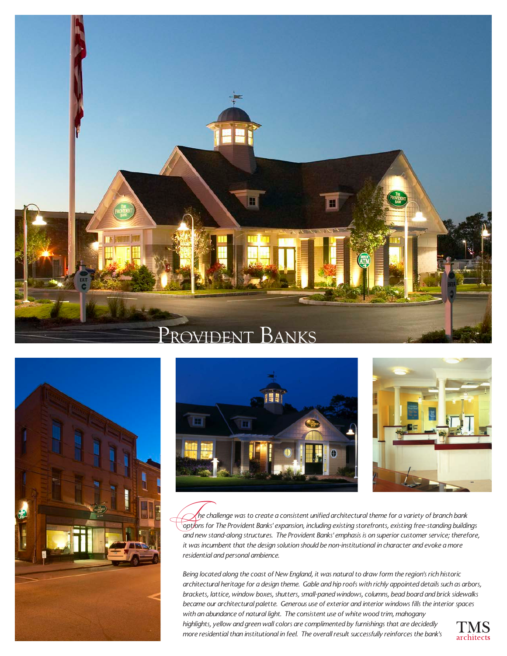







 *he challenge was to create a consistent unified architectural theme for a variety of branch bank*  **options for The Provident Banks' expansistent unified architectural theme for a variety of branch bank**<br> **The Provident Banks' expansion, including existing storefronts, existing free-standing buildings** *and new stand-along structures. The Provident Banks' emphasis is on superior customer service; therefore, it was incumbent that the design solution should be non-institutional in character and evoke a more residential and personal ambience.*

*Being located along the coast of New England, it was natural to draw form the region's rich historic architectural heritage for a design theme. Gable and hip roofs with richly appointed details such as arbors, brackets, lattice, window boxes, shutters, small-paned windows, columns, bead board and brick sidewalks became our architectural palette. Generous use of exterior and interior windows fills the interior spaces with an abundance of natural light. The consistent use of white wood trim, mahogany highlights, yellow and green wall colors are complimented by furnishings that are decidedly more residential than institutional in feel. The overall result successfully reinforces the bank's*